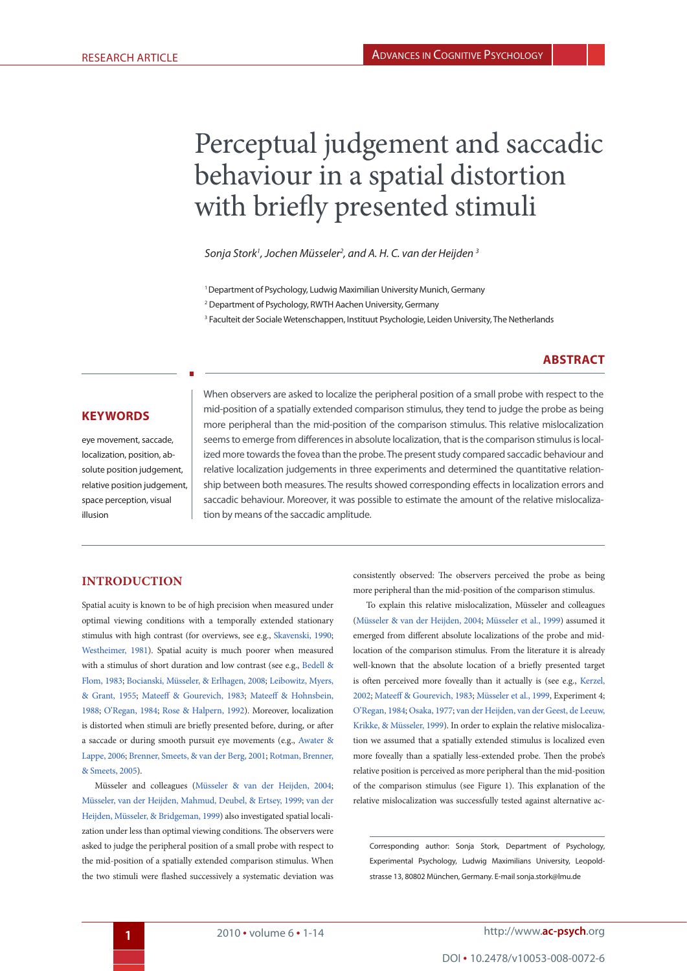# Perceptual judgement and saccadic behaviour in a spatial distortion with briefly presented stimuli

*Sonja Stork1 , Jochen Müsseler2 , and A. H. C. van der Heijden 3*

<sup>1</sup> Department of Psychology, Ludwig Maximilian University Munich, Germany

<sup>2</sup> Department of Psychology, RWTH Aachen University, Germany

3 Faculteit der Sociale Wetenschappen, Instituut Psychologie, Leiden University, The Netherlands

# <span id="page-0-4"></span>**Abstract**

## **KeywordS**

eye movement, saccade, localization, position, absolute position judgement, relative position judgement, space perception, visual illusion

When observers are asked to localize the peripheral position of a small probe with respect to the mid-position of a spatially extended comparison stimulus, they tend to judge the probe as being more peripheral than the mid-position of the comparison stimulus. This relative mislocalization seems to emerge from differences in absolute localization, that is the comparison stimulus is localized more towards the fovea than the probe. The present study compared saccadic behaviour and relative localization judgements in three experiments and determined the quantitative relationship between both measures. The results showed corresponding effects in localization errors and saccadic behaviour. Moreover, it was possible to estimate the amount of the relative mislocalization by means of the saccadic amplitude.

# **INTRODUCTION**

<span id="page-0-16"></span><span id="page-0-6"></span><span id="page-0-2"></span>Spatial acuity is known to be of high precision when measured under optimal viewing conditions with a temporally extended stationary stimulus with high contrast (for overviews, see e.g., [Skavenski, 1990](#page-13-0); [Westheimer, 1981](#page-13-1)). Spatial acuity is much poorer when measured with a stimulus of short duration and low contrast (see e.g., [Bedell &](#page-12-0) [Flom, 1983](#page-12-0); [Bocianski, Müsseler, & Erlhagen, 2008;](#page-12-1) [Leibowitz, Myers,](#page-13-2) [& Grant, 1955](#page-13-2); [Mateeff & Gourevich, 1983;](#page-13-3) [Mateeff & Hohnsbein,](#page-13-4) [1988;](#page-13-4) [O'Regan, 1984;](#page-13-5) [Rose & Halpern, 1992\)](#page-13-6). Moreover, localization is distorted when stimuli are briefly presented before, during, or after a saccade or during smooth pursuit eye movements (e.g., [Awater &](#page-12-2) [Lappe, 2006](#page-12-2); [Brenner, Smeets, & van der Berg, 2001](#page-12-3); [Rotman, Brenner,](#page-13-7) [& Smeets, 2005\)](#page-13-7).

<span id="page-0-9"></span><span id="page-0-3"></span>Müsseler and colleagues [\(Müsseler & van der Heijden, 2004](#page-13-8); [Müsseler, van der Heijden, Mahmud, Deubel, & Ertsey, 1999;](#page-13-9) [van der](#page-13-10) [Heijden, Müsseler, & Bridgeman, 1999\)](#page-13-10) also investigated spatial localization under less than optimal viewing conditions. The observers were asked to judge the peripheral position of a small probe with respect to the mid-position of a spatially extended comparison stimulus. When the two stimuli were flashed successively a systematic deviation was

consistently observed: The observers perceived the probe as being more peripheral than the mid-position of the comparison stimulus.

<span id="page-0-15"></span><span id="page-0-14"></span><span id="page-0-12"></span><span id="page-0-11"></span><span id="page-0-10"></span><span id="page-0-7"></span><span id="page-0-5"></span><span id="page-0-1"></span>To explain this relative mislocalization, Müsseler and colleagues ([Müsseler & van der Heijden, 2004;](#page-13-8) [Müsseler et al., 1999\)](#page-13-9) assumed it emerged from different absolute localizations of the probe and midlocation of the comparison stimulus. From the literature it is already well-known that the absolute location of a briefly presented target is often perceived more foveally than it actually is (see e.g., [Kerzel,](#page-13-11) [2002](#page-13-11); [Mateeff & Gourevich, 1983](#page-13-3); [Müsseler et al., 1999](#page-13-9), Experiment 4; [O'Regan, 1984](#page-13-5); [Osaka, 1977](#page-13-12); [van der Heijden, van der Geest, de Leeuw,](#page-13-13) [Krikke, & Müsseler, 1999](#page-13-13)). In order to explain the relative mislocalization we assumed that a spatially extended stimulus is localized even more foveally than a spatially less-extended probe. Then the probe's relative position is perceived as more peripheral than the mid-position of the comparison stimulus (see Figure 1). This explanation of the relative mislocalization was successfully tested against alternative ac-

<span id="page-0-13"></span><span id="page-0-8"></span><span id="page-0-0"></span>Corresponding author: Sonja Stork, Department of Psychology, Experimental Psychology, Ludwig Maximilians University, Leopoldstrasse 13, 80802 München, Germany. E-mail sonja.stork@lmu.de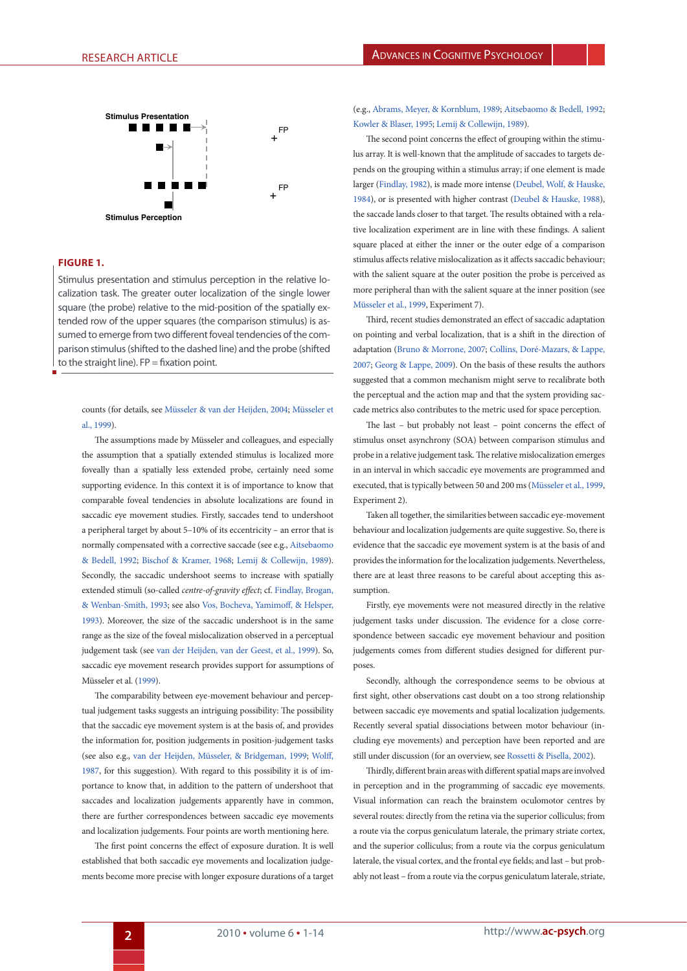

## **Figure 1.**

parison stimulus (shifted to the dashed line) and the probe (shifted Stimulus presentation and stimulus perception in the relative localization task. The greater outer localization of the single lower square (the probe) relative to the mid-position of the spatially extended row of the upper squares (the comparison stimulus) is assumed to emerge from two different foveal tendencies of the comto the straight line).  $FP =$  fixation point.

counts (for details, see [Müsseler & van der Heijden, 2004;](#page-13-8) [Müsseler et](#page-13-9) [al., 1999](#page-13-9)).

<span id="page-1-2"></span>The assumptions made by Müsseler and colleagues, and especially the assumption that a spatially extended stimulus is localized more foveally than a spatially less extended probe, certainly need some supporting evidence. In this context it is of importance to know that comparable foveal tendencies in absolute localizations are found in saccadic eye movement studies. Firstly, saccades tend to undershoot a peripheral target by about 5–10% of its eccentricity – an error that is normally compensated with a corrective saccade (see e.g., [Aitsebaomo](#page-12-4) [& Bedell, 1992](#page-12-4); [Bischof & Kramer, 1968;](#page-12-5) [Lemij & Collewijn, 1989\)](#page-13-14). Secondly, the saccadic undershoot seems to increase with spatially extended stimuli (so-called *centre-of-gravity effect*; cf. [Findlay, Brogan,](#page-12-6) [& Wenban-Smith, 1993](#page-12-6); see also [Vos, Bocheva, Yamimoff, & Helsper,](#page-13-15) [1993\)](#page-13-15). Moreover, the size of the saccadic undershoot is in the same range as the size of the foveal mislocalization observed in a perceptual judgement task (see [van der Heijden, van der Geest, et al., 1999](#page-13-13)). So, saccadic eye movement research provides support for assumptions of Müsseler et al. ([1999\)](#page-13-9).

<span id="page-1-13"></span>The comparability between eye-movement behaviour and perceptual judgement tasks suggests an intriguing possibility: The possibility that the saccadic eye movement system is at the basis of, and provides the information for, position judgements in position-judgement tasks (see also e.g., [van der Heijden, Müsseler, & Bridgeman, 1999;](#page-13-10) [Wolff,](#page-13-16) [1987,](#page-13-16) for this suggestion). With regard to this possibility it is of importance to know that, in addition to the pattern of undershoot that saccades and localization judgements apparently have in common, there are further correspondences between saccadic eye movements and localization judgements. Four points are worth mentioning here.

The first point concerns the effect of exposure duration. It is well established that both saccadic eye movements and localization judgements become more precise with longer exposure durations of a target <span id="page-1-10"></span><span id="page-1-1"></span>(e.g., [Abrams, Meyer, & Kornblum, 1989](#page-12-7); [Aitsebaomo & Bedell, 1992;](#page-12-4) [Kowler & Blaser, 1995;](#page-13-17) [Lemij & Collewijn, 1989](#page-13-14)).

<span id="page-1-7"></span><span id="page-1-6"></span><span id="page-1-5"></span>The second point concerns the effect of grouping within the stimulus array. It is well-known that the amplitude of saccades to targets depends on the grouping within a stimulus array; if one element is made larger ([Findlay, 1982](#page-12-8)), is made more intense [\(Deubel, Wolf, & Hauske,](#page-12-9) [1984](#page-12-9)), or is presented with higher contrast [\(Deubel & Hauske, 1988\)](#page-12-10), the saccade lands closer to that target. The results obtained with a relative localization experiment are in line with these findings. A salient square placed at either the inner or the outer edge of a comparison stimulus affects relative mislocalization as it affects saccadic behaviour; with the salient square at the outer position the probe is perceived as more peripheral than with the salient square at the inner position (see [Müsseler et al., 1999](#page-13-9), Experiment 7).

<span id="page-1-9"></span><span id="page-1-4"></span><span id="page-1-3"></span>Third, recent studies demonstrated an effect of saccadic adaptation on pointing and verbal localization, that is a shift in the direction of adaptation [\(Bruno & Morrone, 2007;](#page-12-11) [Collins, Doré-Mazars, & Lappe,](#page-12-12) [2007](#page-12-12); [Georg & Lappe, 2009](#page-12-13)). On the basis of these results the authors suggested that a common mechanism might serve to recalibrate both the perceptual and the action map and that the system providing saccade metrics also contributes to the metric used for space perception.

The last – but probably not least – point concerns the effect of stimulus onset asynchrony (SOA) between comparison stimulus and probe in a relative judgement task. The relative mislocalization emerges in an interval in which saccadic eye movements are programmed and executed, that is typically between 50 and 200 ms ([Müsseler et al., 1999,](#page-13-9) Experiment 2).

<span id="page-1-11"></span><span id="page-1-0"></span>Taken all together, the similarities between saccadic eye-movement behaviour and localization judgements are quite suggestive. So, there is evidence that the saccadic eye movement system is at the basis of and provides the information for the localization judgements. Nevertheless, there are at least three reasons to be careful about accepting this assumption.

<span id="page-1-14"></span><span id="page-1-8"></span>Firstly, eye movements were not measured directly in the relative judgement tasks under discussion. The evidence for a close correspondence between saccadic eye movement behaviour and position judgements comes from different studies designed for different purposes.

Secondly, although the correspondence seems to be obvious at first sight, other observations cast doubt on a too strong relationship between saccadic eye movements and spatial localization judgements. Recently several spatial dissociations between motor behaviour (including eye movements) and perception have been reported and are still under discussion (for an overview, see [Rossetti & Pisella, 2002\)](#page-13-18).

<span id="page-1-15"></span><span id="page-1-12"></span>Thirdly, different brain areas with different spatial maps are involved in perception and in the programming of saccadic eye movements. Visual information can reach the brainstem oculomotor centres by several routes: directly from the retina via the superior colliculus; from a route via the corpus geniculatum laterale, the primary striate cortex, and the superior colliculus; from a route via the corpus geniculatum laterale, the visual cortex, and the frontal eye fields; and last – but probably not least – from a route via the corpus geniculatum laterale, striate,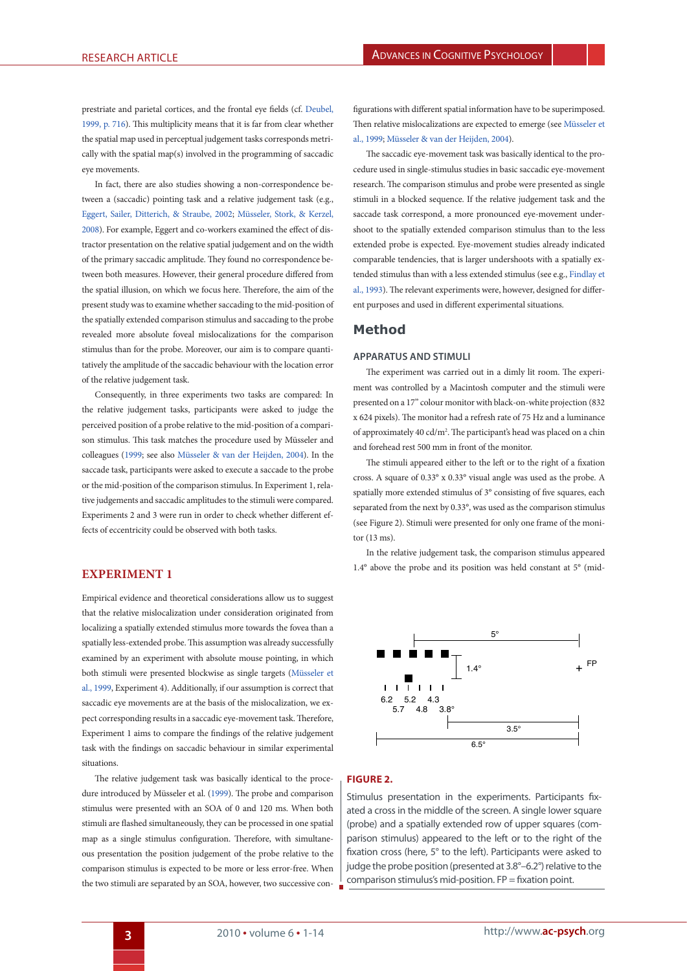prestriate and parietal cortices, and the frontal eye fields (cf. [Deubel,](#page-12-14) [1999, p. 716\)](#page-12-14). This multiplicity means that it is far from clear whether the spatial map used in perceptual judgement tasks corresponds metrically with the spatial map(s) involved in the programming of saccadic eye movements.

<span id="page-2-0"></span>In fact, there are also studies showing a non-correspondence between a (saccadic) pointing task and a relative judgement task (e.g., [Eggert, Sailer, Ditterich, & Straube, 2002](#page-12-15); [Müsseler, Stork, & Kerzel,](#page-13-19) [2008\)](#page-13-19). For example, Eggert and co-workers examined the effect of distractor presentation on the relative spatial judgement and on the width of the primary saccadic amplitude. They found no correspondence between both measures. However, their general procedure differed from the spatial illusion, on which we focus here. Therefore, the aim of the present study was to examine whether saccading to the mid-position of the spatially extended comparison stimulus and saccading to the probe revealed more absolute foveal mislocalizations for the comparison stimulus than for the probe. Moreover, our aim is to compare quantitatively the amplitude of the saccadic behaviour with the location error of the relative judgement task.

Consequently, in three experiments two tasks are compared: In the relative judgement tasks, participants were asked to judge the perceived position of a probe relative to the mid-position of a comparison stimulus. This task matches the procedure used by Müsseler and colleagues [\(1999;](#page-13-9) see also [Müsseler & van der Heijden, 2004](#page-13-8)). In the saccade task, participants were asked to execute a saccade to the probe or the mid-position of the comparison stimulus. In Experiment 1, relative judgements and saccadic amplitudes to the stimuli were compared. Experiments 2 and 3 were run in order to check whether different effects of eccentricity could be observed with both tasks.

# **EXPERIMENT 1**

Empirical evidence and theoretical considerations allow us to suggest that the relative mislocalization under consideration originated from localizing a spatially extended stimulus more towards the fovea than a spatially less-extended probe. This assumption was already successfully examined by an experiment with absolute mouse pointing, in which both stimuli were presented blockwise as single targets ([Müsseler et](#page-13-9) [al., 1999](#page-13-9), Experiment 4). Additionally, if our assumption is correct that saccadic eye movements are at the basis of the mislocalization, we expect corresponding results in a saccadic eye-movement task. Therefore, Experiment 1 aims to compare the findings of the relative judgement task with the findings on saccadic behaviour in similar experimental situations.

The relative judgement task was basically identical to the procedure introduced by Müsseler et al. ([1999\)](#page-13-9). The probe and comparison stimulus were presented with an SOA of 0 and 120 ms. When both stimuli are flashed simultaneously, they can be processed in one spatial map as a single stimulus configuration. Therefore, with simultaneous presentation the position judgement of the probe relative to the comparison stimulus is expected to be more or less error-free. When the two stimuli are separated by an SOA, however, two successive con-

figurations with different spatial information have to be superimposed. Then relative mislocalizations are expected to emerge (see [Müsseler et](#page-13-9) [al., 1999;](#page-13-9) [Müsseler & van der Heijden, 2004\)](#page-13-8).

<span id="page-2-1"></span>The saccadic eye-movement task was basically identical to the procedure used in single-stimulus studies in basic saccadic eye-movement research. The comparison stimulus and probe were presented as single stimuli in a blocked sequence. If the relative judgement task and the saccade task correspond, a more pronounced eye-movement undershoot to the spatially extended comparison stimulus than to the less extended probe is expected. Eye-movement studies already indicated comparable tendencies, that is larger undershoots with a spatially extended stimulus than with a less extended stimulus (see e.g., [Findlay et](#page-12-6) [al., 1993\)](#page-12-6). The relevant experiments were, however, designed for different purposes and used in different experimental situations.

## **Method**

#### **Apparatus and stimuli**

The experiment was carried out in a dimly lit room. The experiment was controlled by a Macintosh computer and the stimuli were presented on a 17" colour monitor with black-on-white projection (832 x 624 pixels). The monitor had a refresh rate of 75 Hz and a luminance of approximately 40 cd/m2 . The participant's head was placed on a chin and forehead rest 500 mm in front of the monitor.

The stimuli appeared either to the left or to the right of a fixation cross. A square of 0.33° x 0.33° visual angle was used as the probe. A spatially more extended stimulus of 3° consisting of five squares, each separated from the next by 0.33°, was used as the comparison stimulus (see Figure 2). Stimuli were presented for only one frame of the monitor (13 ms).

In the relative judgement task, the comparison stimulus appeared 1.4° above the probe and its position was held constant at 5° (mid-



## **Figure 2.**

judge the probe position (presented at 3.8°–6.2°) relative to the Stimulus presentation in the experiments. Participants fixated a cross in the middle of the screen. A single lower square (probe) and a spatially extended row of upper squares (comparison stimulus) appeared to the left or to the right of the fixation cross (here, 5° to the left). Participants were asked to comparison stimulus's mid-position. FP = fixation point.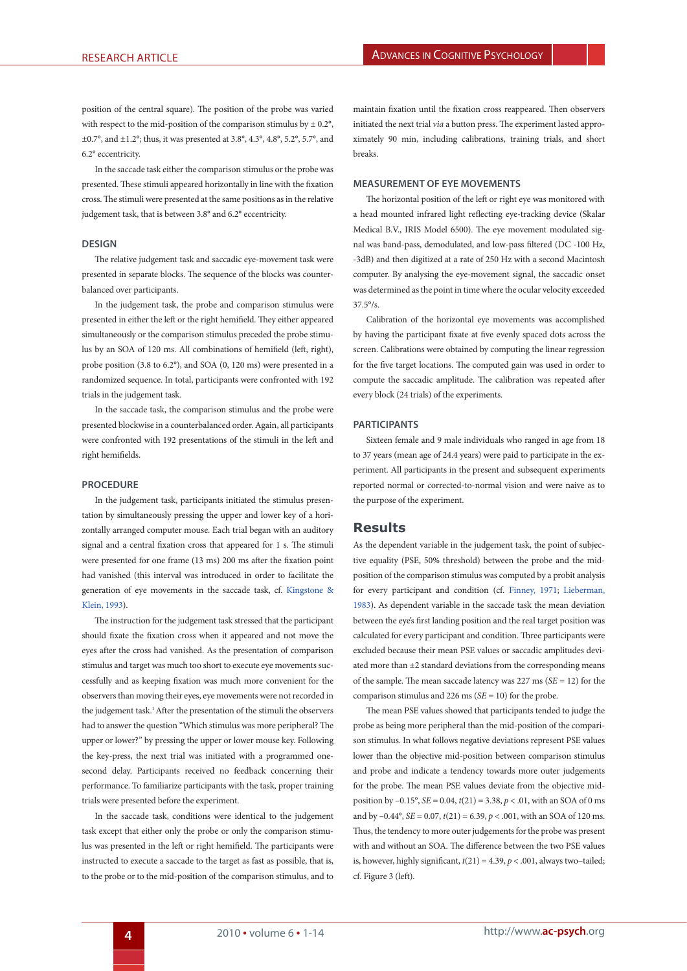position of the central square). The position of the probe was varied with respect to the mid-position of the comparison stimulus by  $\pm 0.2^{\circ}$ , ±0.7°, and ±1.2°; thus, it was presented at 3.8°, 4.3°, 4.8°, 5.2°, 5.7°, and 6.2° eccentricity.

In the saccade task either the comparison stimulus or the probe was presented. These stimuli appeared horizontally in line with the fixation cross. The stimuli were presented at the same positions as in the relative judgement task, that is between 3.8° and 6.2° eccentricity.

#### **Design**

The relative judgement task and saccadic eye-movement task were presented in separate blocks. The sequence of the blocks was counterbalanced over participants.

In the judgement task, the probe and comparison stimulus were presented in either the left or the right hemifield. They either appeared simultaneously or the comparison stimulus preceded the probe stimulus by an SOA of 120 ms. All combinations of hemifield (left, right), probe position (3.8 to 6.2°), and SOA (0, 120 ms) were presented in a randomized sequence. In total, participants were confronted with 192 trials in the judgement task.

In the saccade task, the comparison stimulus and the probe were presented blockwise in a counterbalanced order. Again, all participants were confronted with 192 presentations of the stimuli in the left and right hemifields.

#### **Procedure**

In the judgement task, participants initiated the stimulus presentation by simultaneously pressing the upper and lower key of a horizontally arranged computer mouse. Each trial began with an auditory signal and a central fixation cross that appeared for 1 s. The stimuli were presented for one frame (13 ms) 200 ms after the fixation point had vanished (this interval was introduced in order to facilitate the generation of eye movements in the saccade task, cf. [Kingstone &](#page-13-20) [Klein, 1993](#page-13-20)).

The instruction for the judgement task stressed that the participant should fixate the fixation cross when it appeared and not move the eyes after the cross had vanished. As the presentation of comparison stimulus and target was much too short to execute eye movements successfully and as keeping fixation was much more convenient for the observers than moving their eyes, eye movements were not recorded in the judgement task.<sup>1</sup> After the presentation of the stimuli the observers had to answer the question "Which stimulus was more peripheral? The upper or lower?" by pressing the upper or lower mouse key. Following the key-press, the next trial was initiated with a programmed onesecond delay. Participants received no feedback concerning their performance. To familiarize participants with the task, proper training trials were presented before the experiment.

In the saccade task, conditions were identical to the judgement task except that either only the probe or only the comparison stimulus was presented in the left or right hemifield. The participants were instructed to execute a saccade to the target as fast as possible, that is, to the probe or to the mid-position of the comparison stimulus, and to

maintain fixation until the fixation cross reappeared. Then observers initiated the next trial *via* a button press. The experiment lasted approximately 90 min, including calibrations, training trials, and short breaks.

#### **Measurement of eye movements**

The horizontal position of the left or right eye was monitored with a head mounted infrared light reflecting eye-tracking device (Skalar Medical B.V., IRIS Model 6500). The eye movement modulated signal was band-pass, demodulated, and low-pass filtered (DC -100 Hz, -3dB) and then digitized at a rate of 250 Hz with a second Macintosh computer. By analysing the eye-movement signal, the saccadic onset was determined as the point in time where the ocular velocity exceeded 37.5°/s.

Calibration of the horizontal eye movements was accomplished by having the participant fixate at five evenly spaced dots across the screen. Calibrations were obtained by computing the linear regression for the five target locations. The computed gain was used in order to compute the saccadic amplitude. The calibration was repeated after every block (24 trials) of the experiments.

#### **Participants**

Sixteen female and 9 male individuals who ranged in age from 18 to 37 years (mean age of 24.4 years) were paid to participate in the experiment. All participants in the present and subsequent experiments reported normal or corrected-to-normal vision and were naive as to the purpose of the experiment.

## **Results**

<span id="page-3-2"></span><span id="page-3-1"></span><span id="page-3-0"></span>As the dependent variable in the judgement task, the point of subjective equality (PSE, 50% threshold) between the probe and the midposition of the comparison stimulus was computed by a probit analysis for every participant and condition (cf. [Finney, 1971;](#page-12-16) [Lieberman,](#page-13-21) [1983](#page-13-21)). As dependent variable in the saccade task the mean deviation between the eye's first landing position and the real target position was calculated for every participant and condition. Three participants were excluded because their mean PSE values or saccadic amplitudes deviated more than ±2 standard deviations from the corresponding means of the sample. The mean saccade latency was 227 ms (*SE* = 12) for the comparison stimulus and 226 ms (*SE* = 10) for the probe.

The mean PSE values showed that participants tended to judge the probe as being more peripheral than the mid-position of the comparison stimulus. In what follows negative deviations represent PSE values lower than the objective mid-position between comparison stimulus and probe and indicate a tendency towards more outer judgements for the probe. The mean PSE values deviate from the objective midposition by –0.15°, *SE* = 0.04, *t*(21) = 3.38, *p* < .01, with an SOA of 0 ms and by  $-0.44^{\circ}$ , *SE* = 0.07,  $t(21)$  = 6.39,  $p < .001$ , with an SOA of 120 ms. Thus, the tendency to more outer judgements for the probe was present with and without an SOA. The difference between the two PSE values is, however, highly significant,  $t(21) = 4.39$ ,  $p < .001$ , always two-tailed; cf. Figure 3 (left).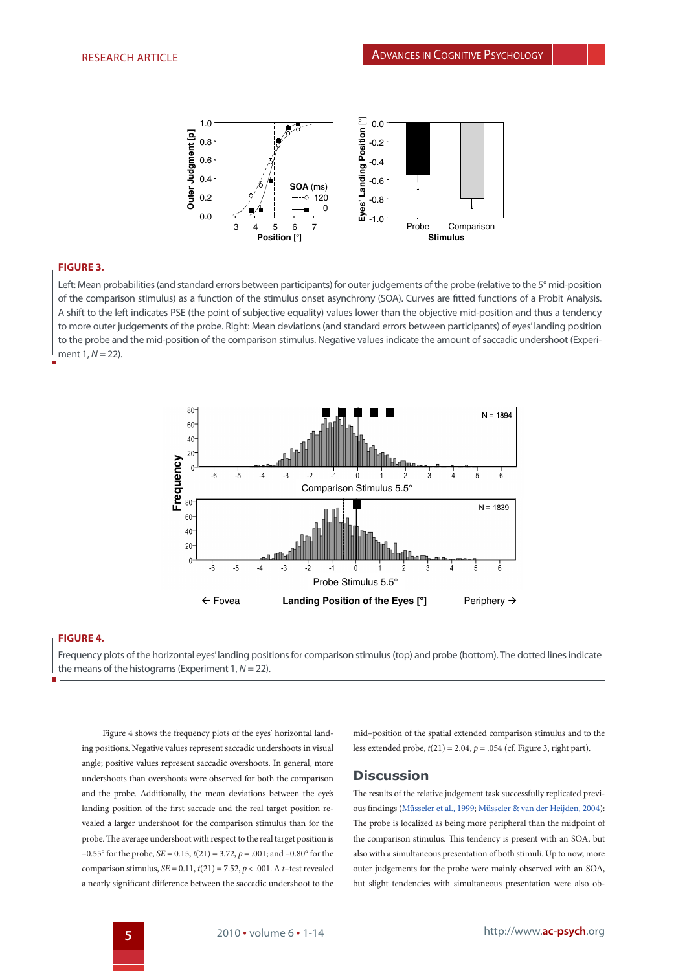

## **Figure 3.**

Left: Mean probabilities (and standard errors between participants) for outer judgements of the probe (relative to the 5° mid-position of the comparison stimulus) as a function of the stimulus onset asynchrony (SOA). Curves are fitted functions of a Probit Analysis. A shift to the left indicates PSE (the point of subjective equality) values lower than the objective mid-position and thus a tendency to more outer judgements of the probe. Right: Mean deviations (and standard errors between participants) of eyes' landing position to the probe and the mid-position of the comparison stimulus. Negative values indicate the amount of saccadic undershoot (Experiment 1,  $N = 22$ ).



## **Figure 4.**

Frequency plots of the horizontal eyes' landing positions for comparison stimulus (top) and probe (bottom). The dotted lines indicate the means of the histograms (Experiment 1, *N* = 22).

Figure 4 shows the frequency plots of the eyes' horizontal landing positions. Negative values represent saccadic undershoots in visual angle; positive values represent saccadic overshoots. In general, more undershoots than overshoots were observed for both the comparison and the probe. Additionally, the mean deviations between the eye's landing position of the first saccade and the real target position revealed a larger undershoot for the comparison stimulus than for the probe. The average undershoot with respect to the real target position is –0.55° for the probe,  $SE = 0.15$ ,  $t(21) = 3.72$ ,  $p = .001$ ; and –0.80° for the comparison stimulus,  $SE = 0.11$ ,  $t(21) = 7.52$ ,  $p < .001$ . A *t*–test revealed a nearly significant difference between the saccadic undershoot to the

mid–position of the spatial extended comparison stimulus and to the less extended probe, *t*(21) = 2.04, *p* = .054 (cf. Figure 3, right part).

## **Discussion**

The results of the relative judgement task successfully replicated previous findings [\(Müsseler et al., 1999](#page-13-9); [Müsseler & van der Heijden, 2004\)](#page-13-8): The probe is localized as being more peripheral than the midpoint of the comparison stimulus. This tendency is present with an SOA, but also with a simultaneous presentation of both stimuli. Up to now, more outer judgements for the probe were mainly observed with an SOA, but slight tendencies with simultaneous presentation were also ob-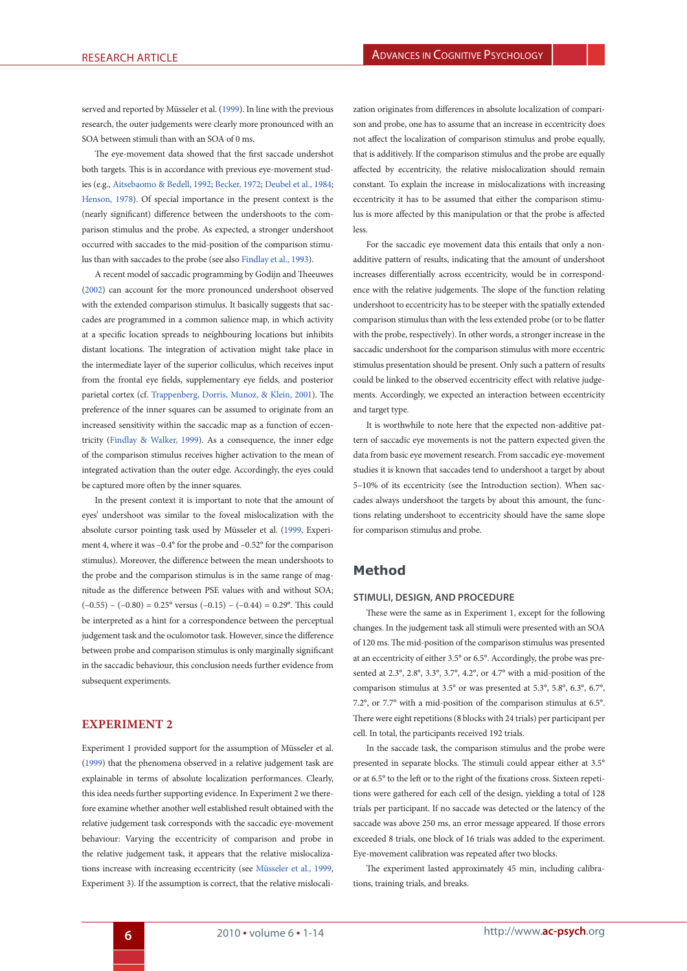served and reported by Müsseler et al. [\(1999](#page-13-9)). In line with the previous research, the outer judgements were clearly more pronounced with an SOA between stimuli than with an SOA of 0 ms.

<span id="page-5-3"></span>The eye-movement data showed that the first saccade undershot both targets. This is in accordance with previous eye-movement studies (e.g., [Aitsebaomo & Bedell, 1992;](#page-1-0) [Becker, 1972;](#page-12-17) [Deubel et al., 1984](#page-12-9); [Henson, 1978](#page-12-18)). Of special importance in the present context is the (nearly significant) difference between the undershoots to the comparison stimulus and the probe. As expected, a stronger undershoot occurred with saccades to the mid-position of the comparison stimulus than with saccades to the probe (see also [Findlay et al., 1993\)](#page-12-19).

A recent model of saccadic programming by Godijn and Theeuwes ([2002\)](#page-12-20) can account for the more pronounced undershoot observed with the extended comparison stimulus. It basically suggests that saccades are programmed in a common salience map, in which activity at a specific location spreads to neighbouring locations but inhibits distant locations. The integration of activation might take place in the intermediate layer of the superior colliculus, which receives input from the frontal eye fields, supplementary eye fields, and posterior parietal cortex (cf. [Trappenberg, Dorris, Munoz, & Klein, 2001](#page-13-22)). The preference of the inner squares can be assumed to originate from an increased sensitivity within the saccadic map as a function of eccentricity [\(Findlay & Walker, 1999](#page-12-19)). As a consequence, the inner edge of the comparison stimulus receives higher activation to the mean of integrated activation than the outer edge. Accordingly, the eyes could be captured more often by the inner squares.

<span id="page-5-1"></span>In the present context it is important to note that the amount of eyes' undershoot was similar to the foveal mislocalization with the absolute cursor pointing task used by Müsseler et al. [\(1999](#page-13-9), Experiment 4, where it was –0.4° for the probe and –0.52° for the comparison stimulus). Moreover, the difference between the mean undershoots to the probe and the comparison stimulus is in the same range of magnitude as the difference between PSE values with and without SOA;  $(-0.55) - (-0.80) = 0.25$ ° versus  $(-0.15) - (-0.44) = 0.29$ °. This could be interpreted as a hint for a correspondence between the perceptual judgement task and the oculomotor task. However, since the difference between probe and comparison stimulus is only marginally significant in the saccadic behaviour, this conclusion needs further evidence from subsequent experiments.

## **EXPERIMENT 2**

Experiment 1 provided support for the assumption of Müsseler et al. ([1999\)](#page-13-9) that the phenomena observed in a relative judgement task are explainable in terms of absolute localization performances. Clearly, this idea needs further supporting evidence. In Experiment 2 we therefore examine whether another well established result obtained with the relative judgement task corresponds with the saccadic eye-movement behaviour: Varying the eccentricity of comparison and probe in the relative judgement task, it appears that the relative mislocalizations increase with increasing eccentricity (see [Müsseler et al., 1999](#page-13-9), Experiment 3). If the assumption is correct, that the relative mislocalization originates from differences in absolute localization of comparison and probe, one has to assume that an increase in eccentricity does not affect the localization of comparison stimulus and probe equally, that is additively. If the comparison stimulus and the probe are equally affected by eccentricity, the relative mislocalization should remain constant. To explain the increase in mislocalizations with increasing eccentricity it has to be assumed that either the comparison stimulus is more affected by this manipulation or that the probe is affected less.

<span id="page-5-2"></span><span id="page-5-0"></span>For the saccadic eye movement data this entails that only a nonadditive pattern of results, indicating that the amount of undershoot increases differentially across eccentricity, would be in correspondence with the relative judgements. The slope of the function relating undershoot to eccentricity has to be steeper with the spatially extended comparison stimulus than with the less extended probe (or to be flatter with the probe, respectively). In other words, a stronger increase in the saccadic undershoot for the comparison stimulus with more eccentric stimulus presentation should be present. Only such a pattern of results could be linked to the observed eccentricity effect with relative judgements. Accordingly, we expected an interaction between eccentricity and target type.

<span id="page-5-4"></span>It is worthwhile to note here that the expected non-additive pattern of saccadic eye movements is not the pattern expected given the data from basic eye movement research. From saccadic eye-movement studies it is known that saccades tend to undershoot a target by about 5–10% of its eccentricity (see the Introduction section). When saccades always undershoot the targets by about this amount, the functions relating undershoot to eccentricity should have the same slope for comparison stimulus and probe.

## **Method**

#### **Stimuli, Design, and Procedure**

These were the same as in Experiment 1, except for the following changes. In the judgement task all stimuli were presented with an SOA of 120 ms. The mid-position of the comparison stimulus was presented at an eccentricity of either 3.5° or 6.5°. Accordingly, the probe was presented at 2.3°, 2.8°, 3.3°, 3.7°, 4.2°, or 4.7° with a mid-position of the comparison stimulus at 3.5° or was presented at 5.3°, 5.8°, 6.3°, 6.7°, 7.2°, or 7.7° with a mid-position of the comparison stimulus at 6.5°. There were eight repetitions (8 blocks with 24 trials) per participant per cell. In total, the participants received 192 trials.

In the saccade task, the comparison stimulus and the probe were presented in separate blocks. The stimuli could appear either at 3.5° or at 6.5° to the left or to the right of the fixations cross. Sixteen repetitions were gathered for each cell of the design, yielding a total of 128 trials per participant. If no saccade was detected or the latency of the saccade was above 250 ms, an error message appeared. If those errors exceeded 8 trials, one block of 16 trials was added to the experiment. Eye-movement calibration was repeated after two blocks.

The experiment lasted approximately 45 min, including calibrations, training trials, and breaks.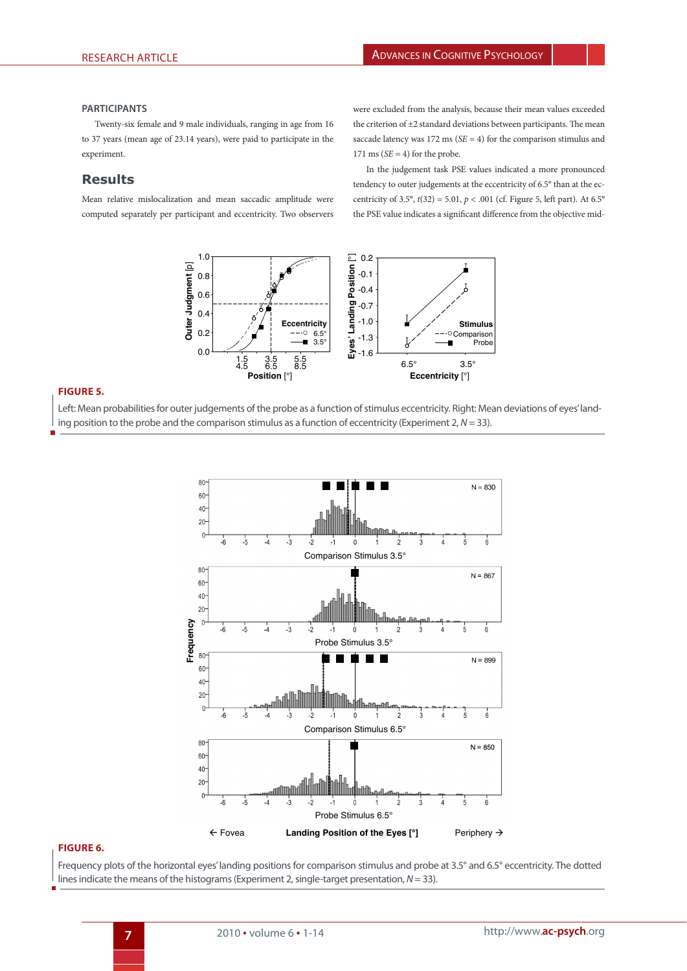#### **Participants**

Twenty-six female and 9 male individuals, ranging in age from 16 to 37 years (mean age of 23.14 years), were paid to participate in the experiment.

# **Results**

Mean relative mislocalization and mean saccadic amplitude were computed separately per participant and eccentricity. Two observers were excluded from the analysis, because their mean values exceeded the criterion of  $\pm 2$  standard deviations between participants. The mean saccade latency was 172 ms (*SE* = 4) for the comparison stimulus and 171 ms  $(SE = 4)$  for the probe.

In the judgement task PSE values indicated a more pronounced tendency to outer judgements at the eccentricity of 6.5° than at the eccentricity of 3.5°,  $t(32) = 5.01$ ,  $p < .001$  (cf. Figure 5, left part). At 6.5° the PSE value indicates a significant difference from the objective mid-



## **Figure 5.**

Left: Mean probabilities for outer judgements of the probe as a function of stimulus eccentricity. Right: Mean deviations of eyes' landing position to the probe and the comparison stimulus as a function of eccentricity (Experiment 2, *N* = 33).



#### **Figure 6.**

Frequency plots of the horizontal eyes' landing positions for comparison stimulus and probe at 3.5° and 6.5° eccentricity. The dotted lines indicate the means of the histograms (Experiment 2, single-target presentation, *N* = 33).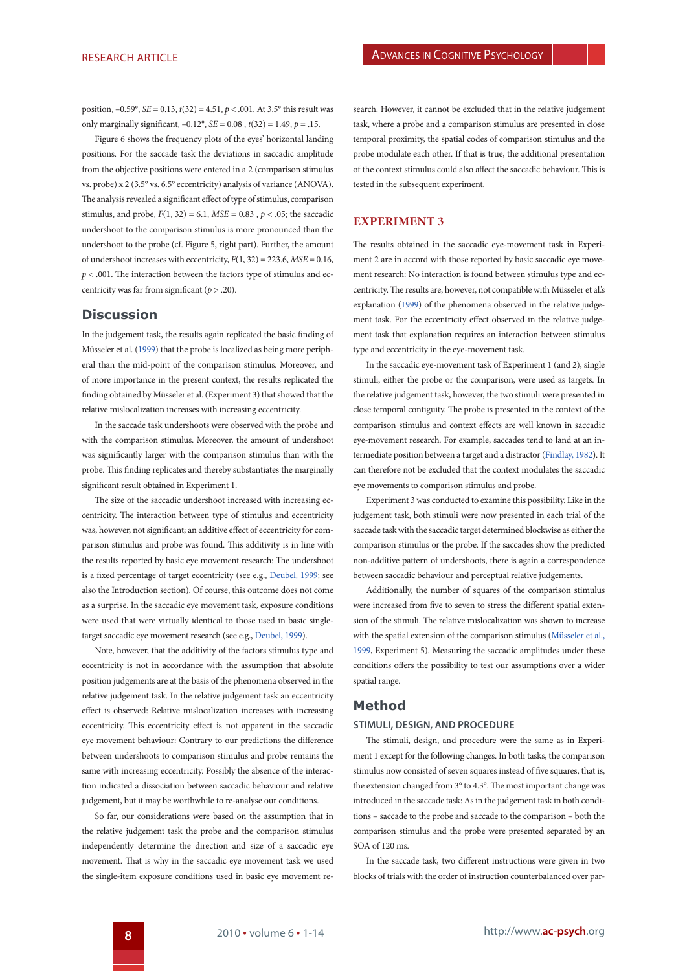position, –0.59°, *SE* = 0.13, *t*(32) = 4.51, *p* < .001. At 3.5° this result was only marginally significant, –0.12°, *SE* = 0.08 , *t*(32) = 1.49, *p* = .15.

Figure 6 shows the frequency plots of the eyes' horizontal landing positions. For the saccade task the deviations in saccadic amplitude from the objective positions were entered in a 2 (comparison stimulus vs. probe) x 2 (3.5° vs. 6.5° eccentricity) analysis of variance (ANOVA). The analysis revealed a significant effect of type of stimulus, comparison stimulus, and probe,  $F(1, 32) = 6.1$ ,  $MSE = 0.83$ ,  $p < .05$ ; the saccadic undershoot to the comparison stimulus is more pronounced than the undershoot to the probe (cf. Figure 5, right part). Further, the amount of undershoot increases with eccentricity,  $F(1, 32) = 223.6$ ,  $MSE = 0.16$ ,  $p < .001$ . The interaction between the factors type of stimulus and eccentricity was far from significant (*p* > .20).

## **Discussion**

In the judgement task, the results again replicated the basic finding of Müsseler et al. ([1999\)](#page-13-9) that the probe is localized as being more peripheral than the mid-point of the comparison stimulus. Moreover, and of more importance in the present context, the results replicated the finding obtained by Müsseler et al. (Experiment 3) that showed that the relative mislocalization increases with increasing eccentricity.

In the saccade task undershoots were observed with the probe and with the comparison stimulus. Moreover, the amount of undershoot was significantly larger with the comparison stimulus than with the probe. This finding replicates and thereby substantiates the marginally significant result obtained in Experiment 1.

The size of the saccadic undershoot increased with increasing eccentricity. The interaction between type of stimulus and eccentricity was, however, not significant; an additive effect of eccentricity for comparison stimulus and probe was found. This additivity is in line with the results reported by basic eye movement research: The undershoot is a fixed percentage of target eccentricity (see e.g., [Deubel, 1999](#page-12-14); see also the Introduction section). Of course, this outcome does not come as a surprise. In the saccadic eye movement task, exposure conditions were used that were virtually identical to those used in basic singletarget saccadic eye movement research (see e.g., [Deubel, 1999](#page-12-14)).

Note, however, that the additivity of the factors stimulus type and eccentricity is not in accordance with the assumption that absolute position judgements are at the basis of the phenomena observed in the relative judgement task. In the relative judgement task an eccentricity effect is observed: Relative mislocalization increases with increasing eccentricity. This eccentricity effect is not apparent in the saccadic eye movement behaviour: Contrary to our predictions the difference between undershoots to comparison stimulus and probe remains the same with increasing eccentricity. Possibly the absence of the interaction indicated a dissociation between saccadic behaviour and relative judgement, but it may be worthwhile to re-analyse our conditions.

So far, our considerations were based on the assumption that in the relative judgement task the probe and the comparison stimulus independently determine the direction and size of a saccadic eye movement. That is why in the saccadic eye movement task we used the single-item exposure conditions used in basic eye movement re-

search. However, it cannot be excluded that in the relative judgement task, where a probe and a comparison stimulus are presented in close temporal proximity, the spatial codes of comparison stimulus and the probe modulate each other. If that is true, the additional presentation of the context stimulus could also affect the saccadic behaviour. This is tested in the subsequent experiment.

# **EXPERIMENT 3**

The results obtained in the saccadic eye-movement task in Experiment 2 are in accord with those reported by basic saccadic eye movement research: No interaction is found between stimulus type and eccentricity. The results are, however, not compatible with Müsseler et al.'s explanation ([1999\)](#page-13-9) of the phenomena observed in the relative judgement task. For the eccentricity effect observed in the relative judgement task that explanation requires an interaction between stimulus type and eccentricity in the eye-movement task.

In the saccadic eye-movement task of Experiment 1 (and 2), single stimuli, either the probe or the comparison, were used as targets. In the relative judgement task, however, the two stimuli were presented in close temporal contiguity. The probe is presented in the context of the comparison stimulus and context effects are well known in saccadic eye-movement research. For example, saccades tend to land at an intermediate position between a target and a distractor ([Findlay, 1982\)](#page-12-8). It can therefore not be excluded that the context modulates the saccadic eye movements to comparison stimulus and probe.

Experiment 3 was conducted to examine this possibility. Like in the judgement task, both stimuli were now presented in each trial of the saccade task with the saccadic target determined blockwise as either the comparison stimulus or the probe. If the saccades show the predicted non-additive pattern of undershoots, there is again a correspondence between saccadic behaviour and perceptual relative judgements.

<span id="page-7-0"></span>Additionally, the number of squares of the comparison stimulus were increased from five to seven to stress the different spatial extension of the stimuli. The relative mislocalization was shown to increase with the spatial extension of the comparison stimulus ([Müsseler et al.,](#page-13-9) [1999,](#page-13-9) Experiment 5). Measuring the saccadic amplitudes under these conditions offers the possibility to test our assumptions over a wider spatial range.

# **Method**

## **Stimuli, Design, and Procedure**

The stimuli, design, and procedure were the same as in Experiment 1 except for the following changes. In both tasks, the comparison stimulus now consisted of seven squares instead of five squares, that is, the extension changed from 3° to 4.3°. The most important change was introduced in the saccade task: As in the judgement task in both conditions – saccade to the probe and saccade to the comparison – both the comparison stimulus and the probe were presented separated by an SOA of 120 ms.

In the saccade task, two different instructions were given in two blocks of trials with the order of instruction counterbalanced over par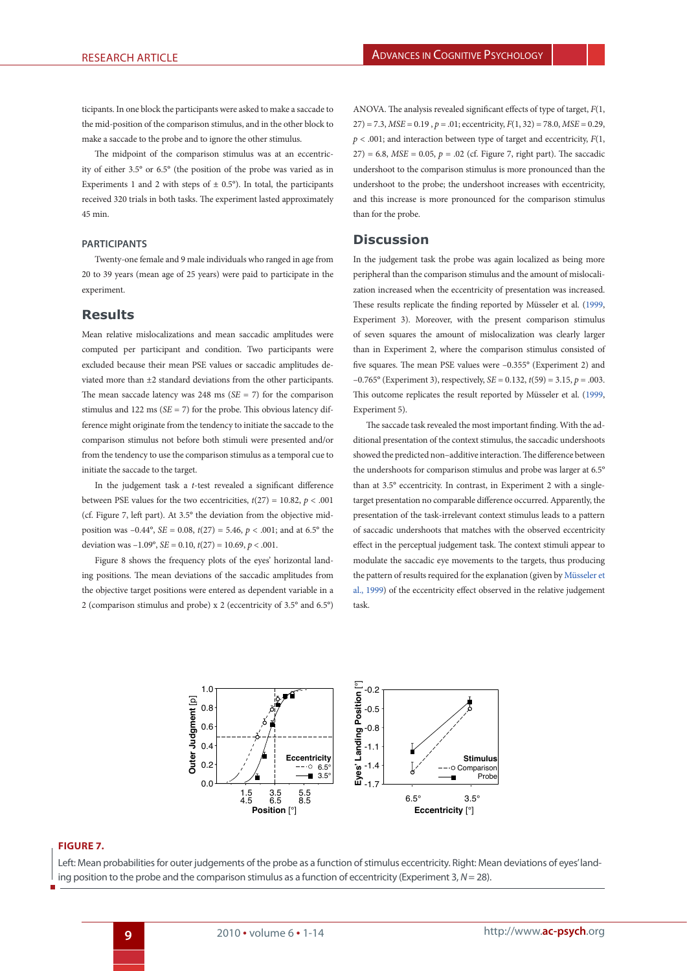ticipants. In one block the participants were asked to make a saccade to the mid-position of the comparison stimulus, and in the other block to make a saccade to the probe and to ignore the other stimulus.

The midpoint of the comparison stimulus was at an eccentricity of either 3.5° or 6.5° (the position of the probe was varied as in Experiments 1 and 2 with steps of  $\pm$  0.5°). In total, the participants received 320 trials in both tasks. The experiment lasted approximately 45 min.

#### **Participants**

Twenty-one female and 9 male individuals who ranged in age from 20 to 39 years (mean age of 25 years) were paid to participate in the experiment.

# **Results**

Mean relative mislocalizations and mean saccadic amplitudes were computed per participant and condition. Two participants were excluded because their mean PSE values or saccadic amplitudes deviated more than ±2 standard deviations from the other participants. The mean saccade latency was  $248 \text{ ms } (SE = 7)$  for the comparison stimulus and 122 ms ( $SE = 7$ ) for the probe. This obvious latency difference might originate from the tendency to initiate the saccade to the comparison stimulus not before both stimuli were presented and/or from the tendency to use the comparison stimulus as a temporal cue to initiate the saccade to the target.

In the judgement task a *t*-test revealed a significant difference between PSE values for the two eccentricities,  $t(27) = 10.82$ ,  $p < .001$ (cf. Figure 7, left part). At 3.5° the deviation from the objective midposition was –0.44°, *SE* = 0.08, *t*(27) = 5.46, *p* < .001; and at 6.5° the deviation was  $-1.09^{\circ}$ , *SE* = 0.10, *t*(27) = 10.69, *p* < .001.

Figure 8 shows the frequency plots of the eyes' horizontal landing positions. The mean deviations of the saccadic amplitudes from the objective target positions were entered as dependent variable in a 2 (comparison stimulus and probe) x 2 (eccentricity of 3.5° and 6.5°)

ANOVA. The analysis revealed significant effects of type of target, *F*(1,  $27$ ) = 7.3, *MSE* = 0.19,  $p = .01$ ; eccentricity,  $F(1, 32) = 78.0$ , *MSE* = 0.29,  $p < .001$ ; and interaction between type of target and eccentricity,  $F(1, 1)$  $27$ ) = 6.8, *MSE* = 0.05,  $p = .02$  (cf. Figure 7, right part). The saccadic undershoot to the comparison stimulus is more pronounced than the undershoot to the probe; the undershoot increases with eccentricity, and this increase is more pronounced for the comparison stimulus than for the probe.

# **Discussion**

In the judgement task the probe was again localized as being more peripheral than the comparison stimulus and the amount of mislocalization increased when the eccentricity of presentation was increased. These results replicate the finding reported by Müsseler et al. ([1999,](#page-13-9) Experiment 3). Moreover, with the present comparison stimulus of seven squares the amount of mislocalization was clearly larger than in Experiment 2, where the comparison stimulus consisted of five squares. The mean PSE values were –0.355° (Experiment 2) and –0.765° (Experiment 3), respectively, *SE* = 0.132, *t*(59) = 3.15, *p* = .003. This outcome replicates the result reported by Müsseler et al. ([1999,](#page-13-9) Experiment 5).

The saccade task revealed the most important finding. With the additional presentation of the context stimulus, the saccadic undershoots showed the predicted non–additive interaction. The difference between the undershoots for comparison stimulus and probe was larger at 6.5° than at 3.5° eccentricity. In contrast, in Experiment 2 with a singletarget presentation no comparable difference occurred. Apparently, the presentation of the task-irrelevant context stimulus leads to a pattern of saccadic undershoots that matches with the observed eccentricity effect in the perceptual judgement task. The context stimuli appear to modulate the saccadic eye movements to the targets, thus producing the pattern of results required for the explanation (given by [Müsseler et](#page-13-9) [al., 1999](#page-13-9)) of the eccentricity effect observed in the relative judgement task.



## **Figure 7.**

Left: Mean probabilities for outer judgements of the probe as a function of stimulus eccentricity. Right: Mean deviations of eyes' landing position to the probe and the comparison stimulus as a function of eccentricity (Experiment 3, *N*= 28).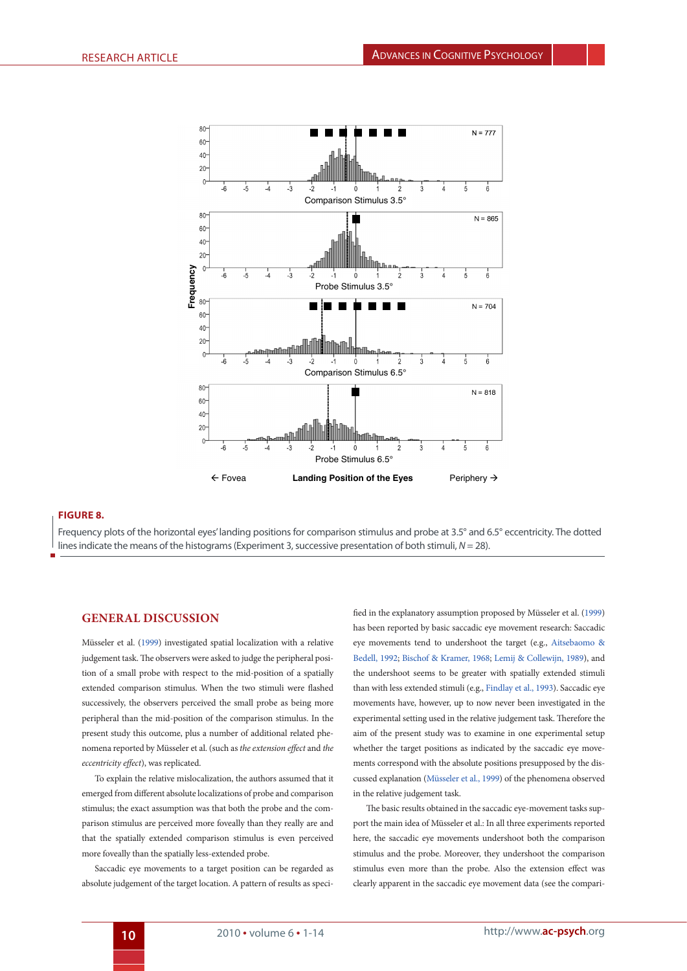

# **Figure 8.**

Frequency plots of the horizontal eyes' landing positions for comparison stimulus and probe at 3.5° and 6.5° eccentricity. The dotted lines indicate the means of the histograms (Experiment 3, successive presentation of both stimuli, *N* = 28).

## **GENERAL DISCUSSION**

Müsseler et al. [\(1999](#page-13-9)) investigated spatial localization with a relative judgement task. The observers were asked to judge the peripheral position of a small probe with respect to the mid-position of a spatially extended comparison stimulus. When the two stimuli were flashed successively, the observers perceived the small probe as being more peripheral than the mid-position of the comparison stimulus. In the present study this outcome, plus a number of additional related phenomena reported by Müsseler et al. (such as *the extension effect* and *the eccentricity effect*), was replicated.

To explain the relative mislocalization, the authors assumed that it emerged from different absolute localizations of probe and comparison stimulus; the exact assumption was that both the probe and the comparison stimulus are perceived more foveally than they really are and that the spatially extended comparison stimulus is even perceived more foveally than the spatially less-extended probe.

Saccadic eye movements to a target position can be regarded as absolute judgement of the target location. A pattern of results as specified in the explanatory assumption proposed by Müsseler et al. ([1999\)](#page-13-9) has been reported by basic saccadic eye movement research: Saccadic eye movements tend to undershoot the target (e.g., [Aitsebaomo &](#page-12-4) [Bedell, 1992;](#page-12-4) [Bischof & Kramer, 1968;](#page-12-5) [Lemij & Collewijn, 1989\),](#page-13-14) and the undershoot seems to be greater with spatially extended stimuli than with less extended stimuli (e.g., [Findlay et al., 1993](#page-12-6)). Saccadic eye movements have, however, up to now never been investigated in the experimental setting used in the relative judgement task. Therefore the aim of the present study was to examine in one experimental setup whether the target positions as indicated by the saccadic eye movements correspond with the absolute positions presupposed by the discussed explanation ([Müsseler et al., 1999\)](#page-13-9) of the phenomena observed in the relative judgement task.

The basic results obtained in the saccadic eye-movement tasks support the main idea of Müsseler et al.: In all three experiments reported here, the saccadic eye movements undershoot both the comparison stimulus and the probe. Moreover, they undershoot the comparison stimulus even more than the probe. Also the extension effect was clearly apparent in the saccadic eye movement data (see the compari-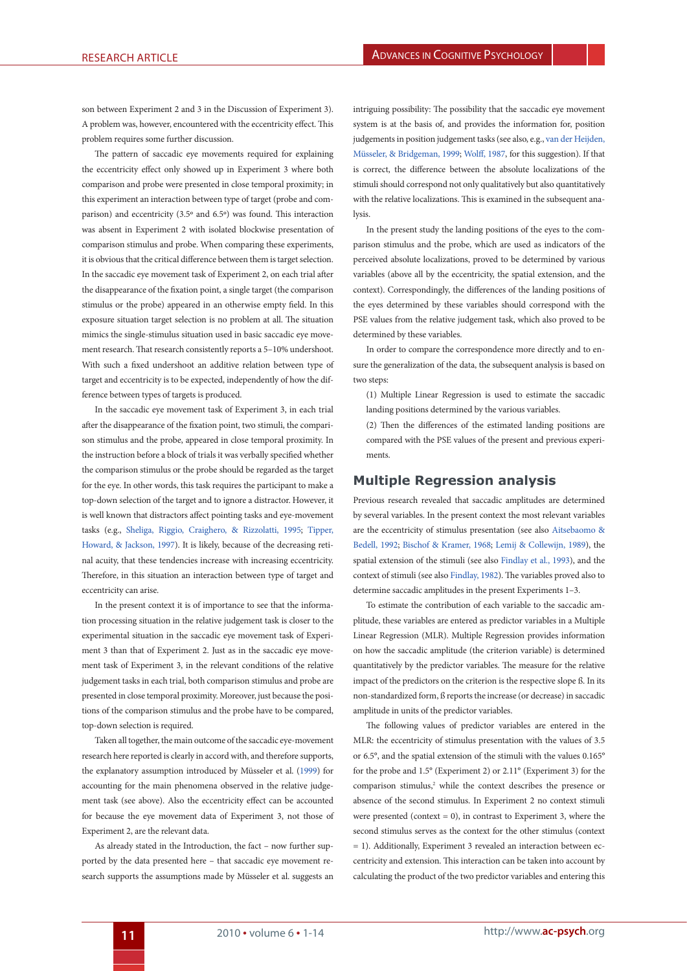son between Experiment 2 and 3 in the Discussion of Experiment 3). A problem was, however, encountered with the eccentricity effect. This problem requires some further discussion.

The pattern of saccadic eye movements required for explaining the eccentricity effect only showed up in Experiment 3 where both comparison and probe were presented in close temporal proximity; in this experiment an interaction between type of target (probe and comparison) and eccentricity (3.5º and 6.5º) was found. This interaction was absent in Experiment 2 with isolated blockwise presentation of comparison stimulus and probe. When comparing these experiments, it is obvious that the critical difference between them is target selection. In the saccadic eye movement task of Experiment 2, on each trial after the disappearance of the fixation point, a single target (the comparison stimulus or the probe) appeared in an otherwise empty field. In this exposure situation target selection is no problem at all. The situation mimics the single-stimulus situation used in basic saccadic eye movement research. That research consistently reports a 5–10% undershoot. With such a fixed undershoot an additive relation between type of target and eccentricity is to be expected, independently of how the difference between types of targets is produced.

In the saccadic eye movement task of Experiment 3, in each trial after the disappearance of the fixation point, two stimuli, the comparison stimulus and the probe, appeared in close temporal proximity. In the instruction before a block of trials it was verbally specified whether the comparison stimulus or the probe should be regarded as the target for the eye. In other words, this task requires the participant to make a top-down selection of the target and to ignore a distractor. However, it is well known that distractors affect pointing tasks and eve-movement tasks (e.g., [Sheliga, Riggio, Craighero, & Rizzolatti, 1995;](#page-13-23) [Tipper,](#page-13-24) [Howard, & Jackson, 1997](#page-13-24)). It is likely, because of the decreasing retinal acuity, that these tendencies increase with increasing eccentricity. Therefore, in this situation an interaction between type of target and eccentricity can arise.

<span id="page-10-0"></span>In the present context it is of importance to see that the information processing situation in the relative judgement task is closer to the experimental situation in the saccadic eye movement task of Experiment 3 than that of Experiment 2. Just as in the saccadic eye movement task of Experiment 3, in the relevant conditions of the relative judgement tasks in each trial, both comparison stimulus and probe are presented in close temporal proximity. Moreover, just because the positions of the comparison stimulus and the probe have to be compared, top-down selection is required.

Taken all together, the main outcome of the saccadic eye-movement research here reported is clearly in accord with, and therefore supports, the explanatory assumption introduced by Müsseler et al. ([1999\)](#page-13-9) for accounting for the main phenomena observed in the relative judgement task (see above). Also the eccentricity effect can be accounted for because the eye movement data of Experiment 3, not those of Experiment 2, are the relevant data.

As already stated in the Introduction, the fact – now further supported by the data presented here – that saccadic eye movement research supports the assumptions made by Müsseler et al. suggests an

intriguing possibility: The possibility that the saccadic eye movement system is at the basis of, and provides the information for, position judgements in position judgement tasks (see also, e.g., [van der Heijden,](#page-13-10) [Müsseler, & Bridgeman, 1999](#page-13-10); [Wolff, 1987,](#page-13-16) for this suggestion). If that is correct, the difference between the absolute localizations of the stimuli should correspond not only qualitatively but also quantitatively with the relative localizations. This is examined in the subsequent analysis.

In the present study the landing positions of the eyes to the comparison stimulus and the probe, which are used as indicators of the perceived absolute localizations, proved to be determined by various variables (above all by the eccentricity, the spatial extension, and the context). Correspondingly, the differences of the landing positions of the eyes determined by these variables should correspond with the PSE values from the relative judgement task, which also proved to be determined by these variables.

In order to compare the correspondence more directly and to ensure the generalization of the data, the subsequent analysis is based on two steps:

(1) Multiple Linear Regression is used to estimate the saccadic landing positions determined by the various variables.

(2) Then the differences of the estimated landing positions are compared with the PSE values of the present and previous experiments.

# **Multiple Regression analysis**

<span id="page-10-1"></span>Previous research revealed that saccadic amplitudes are determined by several variables. In the present context the most relevant variables are the eccentricity of stimulus presentation (see also [Aitsebaomo &](#page-12-4) [Bedell, 1992;](#page-12-4) [Bischof & Kramer, 1968](#page-12-5); [Lemij & Collewijn, 1989\)](#page-13-14), the spatial extension of the stimuli (see also [Findlay et al., 1993\)](#page-12-6), and the context of stimuli (see also [Findlay, 1982\)](#page-12-8). The variables proved also to determine saccadic amplitudes in the present Experiments 1–3.

To estimate the contribution of each variable to the saccadic amplitude, these variables are entered as predictor variables in a Multiple Linear Regression (MLR). Multiple Regression provides information on how the saccadic amplitude (the criterion variable) is determined quantitatively by the predictor variables. The measure for the relative impact of the predictors on the criterion is the respective slope ß. In its non-standardized form, ß reports the increase (or decrease) in saccadic amplitude in units of the predictor variables.

The following values of predictor variables are entered in the MLR: the eccentricity of stimulus presentation with the values of 3.5 or 6.5°, and the spatial extension of the stimuli with the values 0.165° for the probe and 1.5° (Experiment 2) or 2.11° (Experiment 3) for the comparison stimulus,<sup>2</sup> while the context describes the presence or absence of the second stimulus. In Experiment 2 no context stimuli were presented (context  $= 0$ ), in contrast to Experiment 3, where the second stimulus serves as the context for the other stimulus (context = 1). Additionally, Experiment 3 revealed an interaction between eccentricity and extension. This interaction can be taken into account by calculating the product of the two predictor variables and entering this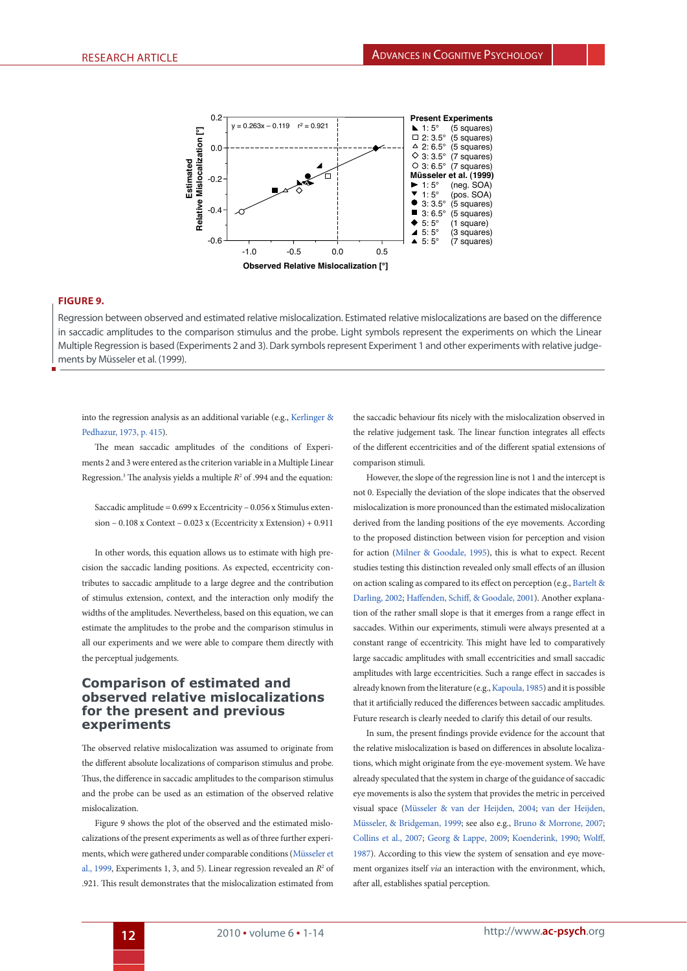

## **Figure 9.**

Regression between observed and estimated relative mislocalization. Estimated relative mislocalizations are based on the difference in saccadic amplitudes to the comparison stimulus and the probe. Light symbols represent the experiments on which the Linear Multiple Regression is based (Experiments 2 and 3). Dark symbols represent Experiment 1 and other experiments with relative judgements by Müsseler et al. (1999).

into the regression analysis as an additional variable (e.g., [Kerlinger &](#page-12-21) [Pedhazur, 1973, p. 415\)](#page-12-21).

The mean saccadic amplitudes of the conditions of Experiments 2 and 3 were entered as the criterion variable in a Multiple Linear Regression.<sup>3</sup> The analysis yields a multiple  $R^2$  of .994 and the equation:

Saccadic amplitude = 0.699 x Eccentricity – 0.056 x Stimulus extension – 0.108 x Context – 0.023 x (Eccentricity x Extension) + 0.911

In other words, this equation allows us to estimate with high precision the saccadic landing positions. As expected, eccentricity contributes to saccadic amplitude to a large degree and the contribution of stimulus extension, context, and the interaction only modify the widths of the amplitudes. Nevertheless, based on this equation, we can estimate the amplitudes to the probe and the comparison stimulus in all our experiments and we were able to compare them directly with the perceptual judgements.

# **Comparison of estimated and observed relative mislocalizations for the present and previous experiments**

The observed relative mislocalization was assumed to originate from the different absolute localizations of comparison stimulus and probe. Thus, the difference in saccadic amplitudes to the comparison stimulus and the probe can be used as an estimation of the observed relative mislocalization.

Figure 9 shows the plot of the observed and the estimated mislocalizations of the present experiments as well as of three further experiments, which were gathered under comparable conditions ([Müsseler et](#page-13-9) [al., 1999,](#page-13-9) Experiments 1, 3, and 5). Linear regression revealed an  $R^2$  of .921. This result demonstrates that the mislocalization estimated from

<span id="page-11-3"></span>the saccadic behaviour fits nicely with the mislocalization observed in the relative judgement task. The linear function integrates all effects of the different eccentricities and of the different spatial extensions of comparison stimuli.

<span id="page-11-5"></span><span id="page-11-1"></span><span id="page-11-0"></span>However, the slope of the regression line is not 1 and the intercept is not 0. Especially the deviation of the slope indicates that the observed mislocalization is more pronounced than the estimated mislocalization derived from the landing positions of the eye movements. According to the proposed distinction between vision for perception and vision for action ([Milner & Goodale, 1995\)](#page-13-25), this is what to expect. Recent studies testing this distinction revealed only small effects of an illusion on action scaling as compared to its effect on perception (e.g., [Bartelt &](#page-12-22) [Darling, 2002;](#page-12-22) [Haffenden, Schiff, & Goodale, 2001\)](#page-12-23). Another explanation of the rather small slope is that it emerges from a range effect in saccades. Within our experiments, stimuli were always presented at a constant range of eccentricity. This might have led to comparatively large saccadic amplitudes with small eccentricities and small saccadic amplitudes with large eccentricities. Such a range effect in saccades is already known from the literature (e.g.,[Kapoula, 1985\)](#page-12-24) and it is possible that it artificially reduced the differences between saccadic amplitudes. Future research is clearly needed to clarify this detail of our results.

<span id="page-11-4"></span><span id="page-11-2"></span>In sum, the present findings provide evidence for the account that the relative mislocalization is based on differences in absolute localizations, which might originate from the eye-movement system. We have already speculated that the system in charge of the guidance of saccadic eye movements is also the system that provides the metric in perceived visual space ([Müsseler & van der Heijden, 2004](#page-13-8); [van der Heijden,](#page-13-9) [Müsseler, & Bridgeman, 1999;](#page-13-9) see also e.g., [Bruno & Morrone, 2007;](#page-12-11) [Collins et al., 2007](#page-12-12); [Georg & Lappe, 2009;](#page-12-13) [Koenderink, 1990;](#page-13-26) [Wolff,](#page-13-16) [1987](#page-13-16)). According to this view the system of sensation and eye movement organizes itself *via* an interaction with the environment, which, after all, establishes spatial perception.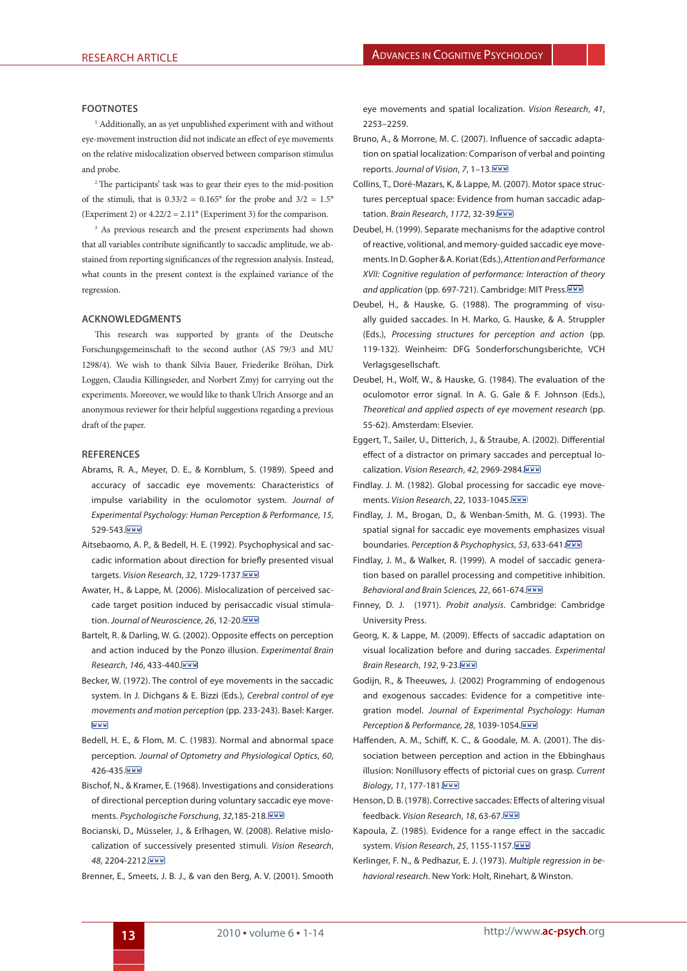#### **Footnotes**

1 Additionally, an as yet unpublished experiment with and without eye-movement instruction did not indicate an effect of eye movements on the relative mislocalization observed between comparison stimulus and probe.

2 The participants' task was to gear their eyes to the mid-position of the stimuli, that is  $0.33/2 = 0.165^{\circ}$  for the probe and  $3/2 = 1.5^{\circ}$ (Experiment 2) or  $4.22/2 = 2.11^{\circ}$  (Experiment 3) for the comparison.

<sup>3</sup> As previous research and the present experiments had shown that all variables contribute significantly to saccadic amplitude, we abstained from reporting significances of the regression analysis. Instead, what counts in the present context is the explained variance of the regression.

#### **Acknowledgments**

This research was supported by grants of the Deutsche Forschungsgemeinschaft to the second author (AS 79/3 and MU 1298/4). We wish to thank Silvia Bauer, Friederike Bröhan, Dirk Loggen, Claudia Killingseder, and Norbert Zmyj for carrying out the experiments. Moreover, we would like to thank Ulrich Ansorge and an anonymous reviewer for their helpful suggestions regarding a previous draft of the paper.

#### **References**

- <span id="page-12-7"></span>A[brams, R. A., Meyer, D. E., & Kornblum, S. \(1989\).](#page-1-1) Speed and accuracy of saccadic eye movements: Characteristics of impulse variability in the oculomotor system. *Journal of Experimental Psychology: Human Perception & Performance*, *15*, 529-543. WWW
- <span id="page-12-4"></span>A[itsebaomo, A. P., & Bedell, H. E. \(1992\)](#page-1-0). Psychophysical and saccadic information about direction for briefly presented visual targets. *Vision Research*, *32*, 1729-1737.
- <span id="page-12-2"></span>A[water, H., & Lappe, M. \(2006\).](#page-0-0) Mislocalization of perceived saccade target position induced by perisaccadic visual stimulation. *Journal of Neuroscience*, *26*, 12-20.
- <span id="page-12-22"></span>[Bartelt, R. & Darling, W. G. \(2002\)](#page-11-0). Opposite effects on perception and action induced by the Ponzo illusion. *Experimental Brain Research*, *146*, 433-440.
- <span id="page-12-17"></span>[Becker, W. \(1972\)](#page-5-0). The control of eye movements in the saccadic system. In J. Dichgans & E. Bizzi (Eds.), *Cerebral control of eye movements and motion perception* (pp. 233-243). Basel: Karger. WWW
- <span id="page-12-0"></span>[Bedell, H. E., & Flom, M. C. \(1983\)](#page-0-1). Normal and abnormal space perception. *Journal of Optometry and Physiological Optics*, *60*, 426-435 WWW
- <span id="page-12-5"></span>[Bischof, N., & Kramer, E. \(1968\).](#page-1-2) Investigations and considerations of directional perception during voluntary saccadic eye movements. *Psychologische Forschung*, *32*,185-218.
- <span id="page-12-1"></span>[Bocianski, D., Müsseler, J., & Erlhagen, W. \(2008\).](#page-0-2) Relative mislocalization of successively presented stimuli. *Vision Research*, *48*, 2204-2212.
- <span id="page-12-3"></span>[Brenner, E., Smeets, J. B. J., & van den Berg, A. V. \(2001\)](#page-0-3). Smooth

eye movements and spatial localization. *Vision Research*, *41*, 2253–2259.

- <span id="page-12-11"></span>B[runo, A., & Morrone, M. C. \(2007\)](#page-1-3). Influence of saccadic adaptation on spatial localization: Comparison of verbal and pointing reports. *Journal of Vision*, *7*, 1–13.
- <span id="page-12-12"></span>C[ollins, T., Doré-Mazars, K, & Lappe, M. \(2007\).](#page-1-4) Motor space structures perceptual space: Evidence from human saccadic adaptation. *Brain Research*, *1172*, 32-39.
- <span id="page-12-14"></span>D[eubel, H. \(1999\).](#page-7-0) Separate mechanisms for the adaptive control of reactive, volitional, and memory-guided saccadic eye movements. In D. Gopher & A. Koriat (Eds.), *Attention and Performance XVII: Cognitive regulation of performance: Interaction of theory and application* (pp. 697-721). Cambridge: MIT Press.
- <span id="page-12-10"></span>D[eubel, H., & Hauske, G. \(1988\).](#page-1-5) The programming of visually guided saccades. In H. Marko, G. Hauske, & A. Struppler (Eds.), *Processing structures for perception and action* (pp. 119-132). Weinheim: DFG Sonderforschungsberichte, VCH Verlagsgesellschaft.
- <span id="page-12-9"></span>D[eubel, H., Wolf, W., & Hauske, G. \(1984\).](#page-1-6) The evaluation of the oculomotor error signal. In A. G. Gale & F. Johnson (Eds.), *Theoretical and applied aspects of eye movement research* (pp. 55-62). Amsterdam: Elsevier.
- <span id="page-12-15"></span>[Eggert, T., Sailer, U., Ditterich, J., & Straube, A. \(2002\).](#page-2-0) Differential effect of a distractor on primary saccades and perceptual localization. *Vision Research*, *42*, 2969-2984.
- <span id="page-12-8"></span>[Findlay. J. M. \(1982\).](#page-1-7) Global processing for saccadic eye movements. *Vision Research*, *22*, 1033-1045.
- <span id="page-12-6"></span>[Findlay, J. M., Brogan, D., & Wenban-Smith, M. G. \(1993\).](#page-1-8) The spatial signal for saccadic eye movements emphasizes visual boundaries. *Perception & Psychophysics*, *53*, 633-641.
- <span id="page-12-19"></span>[Findlay, J. M., & Walker, R. \(1999\).](#page-5-1) A model of saccadic generation based on parallel processing and competitive inhibition. *Behavioral and Brain Sciences, 22*, 661-674.
- <span id="page-12-16"></span>[Finney, D. J. \(1971\).](#page-3-0) *Probit analysis*. Cambridge: Cambridge University Press.
- <span id="page-12-13"></span>[Georg, K. & Lappe, M. \(2009\)](#page-1-9). Effects of saccadic adaptation on visual localization before and during saccades. *Experimental Brain Research*, *192*, 9-23.
- <span id="page-12-20"></span>[Godijn, R., & Theeuwes, J. \(2002\)](#page-5-2) Programming of endogenous and exogenous saccades: Evidence for a competitive integration model. *Journal of Experimental Psychology: Human Perception & Performance, 28*, 1039-1054.
- <span id="page-12-23"></span>[Haffenden, A. M., Schiff, K. C., & Goodale, M. A. \(2001\).](#page-11-1) The dissociation between perception and action in the Ebbinghaus illusion: Nonillusory effects of pictorial cues on grasp. *Current Biology*, *11*, 177-181.
- <span id="page-12-18"></span>[Henson, D. B. \(1978\).](#page-5-3) Corrective saccades: Effects of altering visual feedback. *Vision Research*, *18*, 63-67.
- <span id="page-12-24"></span>K[apoula, Z. \(1985\)](#page-11-2). Evidence for a range effect in the saccadic system. *Vision Research*, *25*, 1155-1157.
- <span id="page-12-21"></span>K[erlinger, F. N., & Pedhazur, E. J. \(1973\).](#page-11-3) *Multiple regression in behavioral research*. New York: Holt, Rinehart, & Winston.